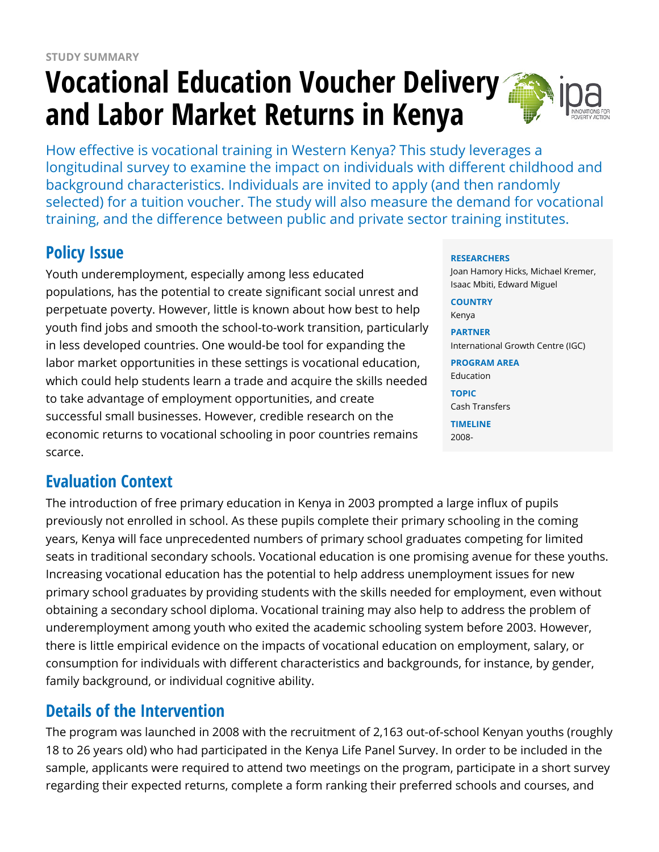# **Vocational Education Voucher Delivery and Labor Market Returns in Kenya**



How effective is vocational training in Western Kenya? This study leverages a longitudinal survey to examine the impact on individuals with different childhood and background characteristics. Individuals are invited to apply (and then randomly selected) for a tuition voucher. The study will also measure the demand for vocational training, and the difference between public and private sector training institutes.

## **Policy Issue**

Youth underemployment, especially among less educated populations, has the potential to create significant social unrest and perpetuate poverty. However, little is known about how best to help youth find jobs and smooth the school-to-work transition, particularly in less developed countries. One would-be tool for expanding the labor market opportunities in these settings is vocational education, which could help students learn a trade and acquire the skills needed to take advantage of employment opportunities, and create successful small businesses. However, credible research on the economic returns to vocational schooling in poor countries remains scarce.

### **Evaluation Context**

The introduction of free primary education in Kenya in 2003 prompted a large influx of pupils previously not enrolled in school. As these pupils complete their primary schooling in the coming years, Kenya will face unprecedented numbers of primary school graduates competing for limited seats in traditional secondary schools. Vocational education is one promising avenue for these youths. Increasing vocational education has the potential to help address unemployment issues for new primary school graduates by providing students with the skills needed for employment, even without obtaining a secondary school diploma. Vocational training may also help to address the problem of underemployment among youth who exited the academic schooling system before 2003. However, there is little empirical evidence on the impacts of vocational education on employment, salary, or consumption for individuals with different characteristics and backgrounds, for instance, by gender, family background, or individual cognitive ability.

### **Details of the Intervention**

The program was launched in 2008 with the recruitment of 2,163 out-of-school Kenyan youths (roughly 18 to 26 years old) who had participated in the Kenya Life Panel Survey. In order to be included in the sample, applicants were required to attend two meetings on the program, participate in a short survey regarding their expected returns, complete a form ranking their preferred schools and courses, and

#### **RESEARCHERS**

Joan Hamory Hicks, Michael Kremer, Isaac Mbiti, Edward Miguel

**COUNTRY** Kenya

**PARTNER** International Growth Centre (IGC)

**PROGRAM AREA** Education

**TOPIC** Cash Transfers

**TIMELINE** 2008